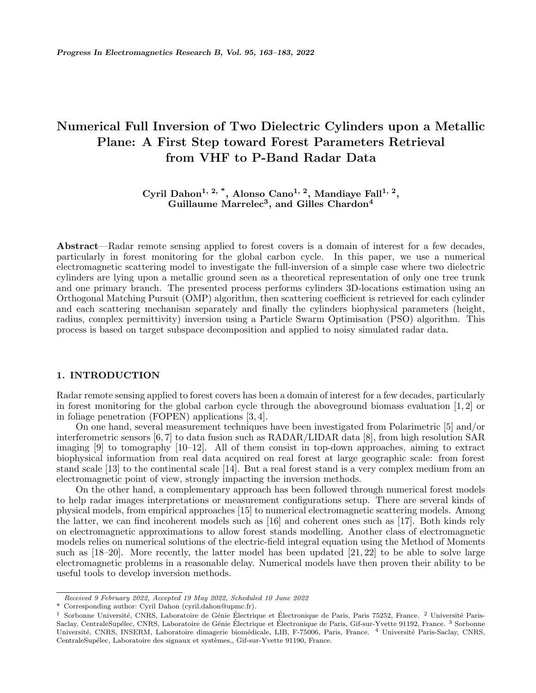# **Numerical Full Inversion of Two Dielectric Cylinders upon a Metallic Plane: A First Step toward Forest Parameters Retrieval from VHF to P-Band Radar Data**

**Cyril Dahon1, 2, \*, Alonso Cano1, 2, Mandiaye Fall1, 2 , Guillaume Marrelec<sup>3</sup> , and Gilles Chardon<sup>4</sup>**

**Abstract**—Radar remote sensing applied to forest covers is a domain of interest for a few decades, particularly in forest monitoring for the global carbon cycle. In this paper, we use a numerical electromagnetic scattering model to investigate the full-inversion of a simple case where two dielectric cylinders are lying upon a metallic ground seen as a theoretical representation of only one tree trunk and one primary branch. The presented process performs cylinders 3D-locations estimation using an Orthogonal Matching Pursuit (OMP) algorithm, then scattering coefficient is retrieved for each cylinder and each scattering mechanism separately and finally the cylinders biophysical parameters (height, radius, complex permittivity) inversion using a Particle Swarm Optimisation (PSO) algorithm. This process is based on target subspace decomposition and applied to noisy simulated radar data.

# **1. INTRODUCTION**

Radar remote sensing applied to forest covers has been a domain of interest for a few decades, particularly in forest monitoring for the global carbon cycle through the aboveground biomass evaluation [1, 2] or in foliage penetration (FOPEN) applications [3, 4].

On one hand, several measurement techniques have been investigated from Polarimetric [5] and/or interferometric sensors [6, 7] to data fusion such as RADAR/LIDAR data [8], from high resolution SAR imaging [9] to tomography [10–12]. All of them consist in top-down approaches, aiming to extract biophysical information from real data acquired on real forest at large geographic scale: from forest stand scale [13] to the continental scale [14]. But a real forest stand is a very complex medium from an electromagnetic point of view, strongly impacting the inversion methods.

On the other hand, a complementary approach has been followed through numerical forest models to help radar images interpretations or measurement configurations setup. There are several kinds of physical models, from empirical approaches [15] to numerical electromagnetic scattering models. Among the latter, we can find incoherent models such as [16] and coherent ones such as [17]. Both kinds rely on electromagnetic approximations to allow forest stands modelling. Another class of electromagnetic models relies on numerical solutions of the electric-field integral equation using the Method of Moments such as [18–20]. More recently, the latter model has been updated [21, 22] to be able to solve large electromagnetic problems in a reasonable delay. Numerical models have then proven their ability to be useful tools to develop inversion methods.

*Received 9 February 2022, Accepted 19 May 2022, Scheduled 10 June 2022*

<sup>\*</sup> Corresponding author: Cyril Dahon (cyril.dahon@upmc.fr).

<sup>&</sup>lt;sup>1</sup> Sorbonne Université, CNRS, Laboratoire de Génie Électrique et Électronique de Paris, Paris 75252, France. <sup>2</sup> Université Paris-Saclay, CentraleSupélec, CNRS, Laboratoire de Génie Électrique et Électronique de Paris, Gif-sur-Yvette 91192, France. <sup>3</sup> Sorbonne Université, CNRS, INSERM, Laboratoire dimagerie biomédicale, LIB, F-75006, Paris, France. <sup>4</sup> Université Paris-Saclay, CNRS, CentraleSupélec, Laboratoire des signaux et systèmes,, Gif-sur-Yvette 91190, France.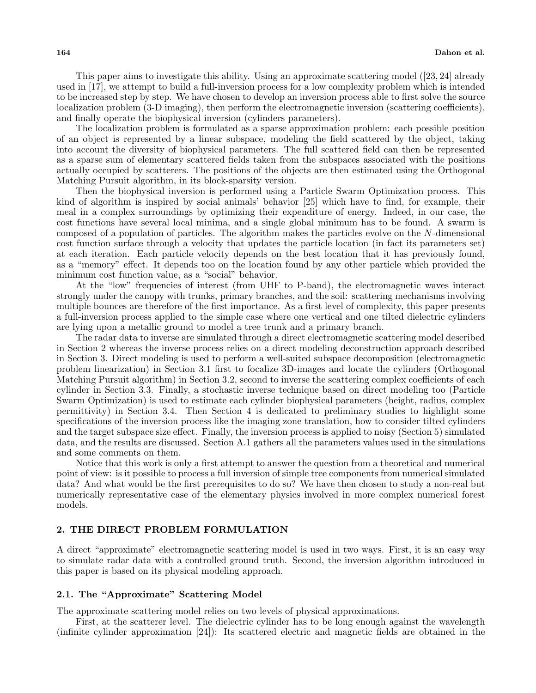This paper aims to investigate this ability. Using an approximate scattering model ([23, 24] already used in [17], we attempt to build a full-inversion process for a low complexity problem which is intended to be increased step by step. We have chosen to develop an inversion process able to first solve the source localization problem (3-D imaging), then perform the electromagnetic inversion (scattering coefficients), and finally operate the biophysical inversion (cylinders parameters).

The localization problem is formulated as a sparse approximation problem: each possible position of an object is represented by a linear subspace, modeling the field scattered by the object, taking into account the diversity of biophysical parameters. The full scattered field can then be represented as a sparse sum of elementary scattered fields taken from the subspaces associated with the positions actually occupied by scatterers. The positions of the objects are then estimated using the Orthogonal Matching Pursuit algorithm, in its block-sparsity version.

Then the biophysical inversion is performed using a Particle Swarm Optimization process. This kind of algorithm is inspired by social animals' behavior [25] which have to find, for example, their meal in a complex surroundings by optimizing their expenditure of energy. Indeed, in our case, the cost functions have several local minima, and a single global minimum has to be found. A swarm is composed of a population of particles. The algorithm makes the particles evolve on the *N*-dimensional cost function surface through a velocity that updates the particle location (in fact its parameters set) at each iteration. Each particle velocity depends on the best location that it has previously found, as a "memory" effect. It depends too on the location found by any other particle which provided the minimum cost function value, as a "social" behavior.

At the "low" frequencies of interest (from UHF to P-band), the electromagnetic waves interact strongly under the canopy with trunks, primary branches, and the soil: scattering mechanisms involving multiple bounces are therefore of the first importance. As a first level of complexity, this paper presents a full-inversion process applied to the simple case where one vertical and one tilted dielectric cylinders are lying upon a metallic ground to model a tree trunk and a primary branch.

The radar data to inverse are simulated through a direct electromagnetic scattering model described in Section 2 whereas the inverse process relies on a direct modeling deconstruction approach described in Section 3. Direct modeling is used to perform a well-suited subspace decomposition (electromagnetic problem linearization) in Section 3.1 first to focalize 3D-images and locate the cylinders (Orthogonal Matching Pursuit algorithm) in Section 3.2, second to inverse the scattering complex coefficients of each cylinder in Section 3.3. Finally, a stochastic inverse technique based on direct modeling too (Particle Swarm Optimization) is used to estimate each cylinder biophysical parameters (height, radius, complex permittivity) in Section 3.4. Then Section 4 is dedicated to preliminary studies to highlight some specifications of the inversion process like the imaging zone translation, how to consider tilted cylinders and the target subspace size effect. Finally, the inversion process is applied to noisy (Section 5) simulated data, and the results are discussed. Section A.1 gathers all the parameters values used in the simulations and some comments on them.

Notice that this work is only a first attempt to answer the question from a theoretical and numerical point of view: is it possible to process a full inversion of simple tree components from numerical simulated data? And what would be the first prerequisites to do so? We have then chosen to study a non-real but numerically representative case of the elementary physics involved in more complex numerical forest models.

# **2. THE DIRECT PROBLEM FORMULATION**

A direct "approximate" electromagnetic scattering model is used in two ways. First, it is an easy way to simulate radar data with a controlled ground truth. Second, the inversion algorithm introduced in this paper is based on its physical modeling approach.

# **2.1. The "Approximate" Scattering Model**

The approximate scattering model relies on two levels of physical approximations.

First, at the scatterer level. The dielectric cylinder has to be long enough against the wavelength (infinite cylinder approximation [24]): Its scattered electric and magnetic fields are obtained in the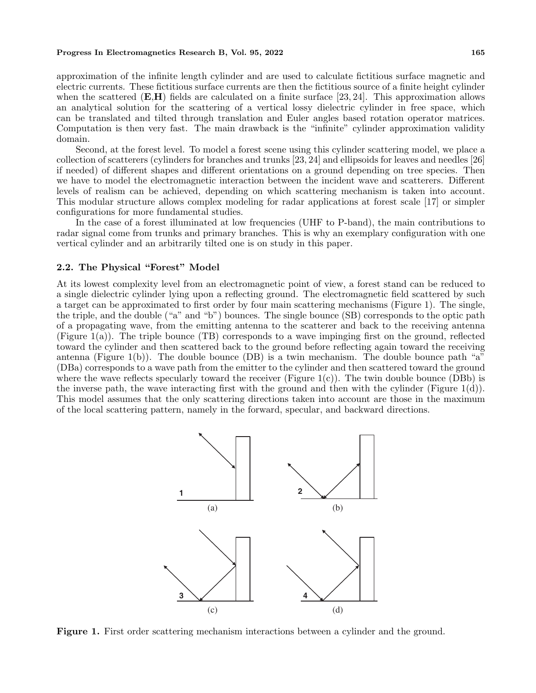approximation of the infinite length cylinder and are used to calculate fictitious surface magnetic and electric currents. These fictitious surface currents are then the fictitious source of a finite height cylinder when the scattered (**E,H**) fields are calculated on a finite surface [23, 24]. This approximation allows an analytical solution for the scattering of a vertical lossy dielectric cylinder in free space, which can be translated and tilted through translation and Euler angles based rotation operator matrices. Computation is then very fast. The main drawback is the "infinite" cylinder approximation validity domain.

Second, at the forest level. To model a forest scene using this cylinder scattering model, we place a collection of scatterers (cylinders for branches and trunks [23, 24] and ellipsoids for leaves and needles [26] if needed) of different shapes and different orientations on a ground depending on tree species. Then we have to model the electromagnetic interaction between the incident wave and scatterers. Different levels of realism can be achieved, depending on which scattering mechanism is taken into account. This modular structure allows complex modeling for radar applications at forest scale [17] or simpler configurations for more fundamental studies.

In the case of a forest illuminated at low frequencies (UHF to P-band), the main contributions to radar signal come from trunks and primary branches. This is why an exemplary configuration with one vertical cylinder and an arbitrarily tilted one is on study in this paper.

# **2.2. The Physical "Forest" Model**

At its lowest complexity level from an electromagnetic point of view, a forest stand can be reduced to a single dielectric cylinder lying upon a reflecting ground. The electromagnetic field scattered by such a target can be approximated to first order by four main scattering mechanisms (Figure 1). The single, the triple, and the double ("a" and "b") bounces. The single bounce (SB) corresponds to the optic path of a propagating wave, from the emitting antenna to the scatterer and back to the receiving antenna (Figure 1(a)). The triple bounce (TB) corresponds to a wave impinging first on the ground, reflected toward the cylinder and then scattered back to the ground before reflecting again toward the receiving antenna (Figure 1(b)). The double bounce (DB) is a twin mechanism. The double bounce path "a" (DBa) corresponds to a wave path from the emitter to the cylinder and then scattered toward the ground where the wave reflects specularly toward the receiver (Figure  $1(c)$ ). The twin double bounce (DBb) is the inverse path, the wave interacting first with the ground and then with the cylinder (Figure 1(d)). This model assumes that the only scattering directions taken into account are those in the maximum of the local scattering pattern, namely in the forward, specular, and backward directions.



**Figure 1.** First order scattering mechanism interactions between a cylinder and the ground.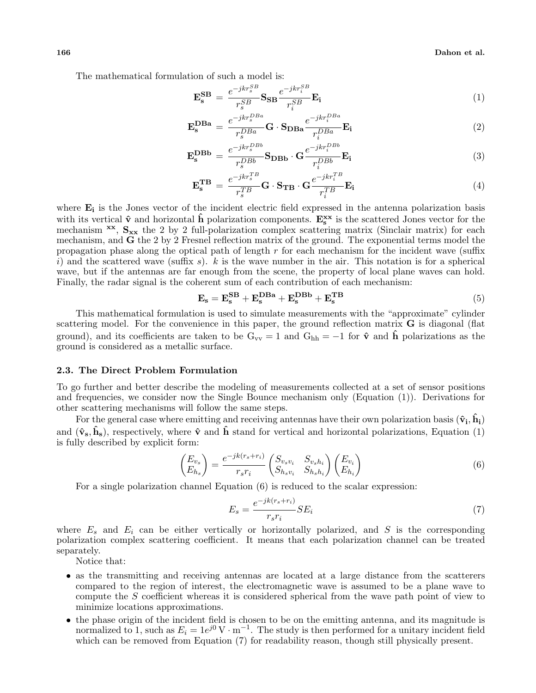The mathematical formulation of such a model is:

$$
\mathbf{E}_{s}^{SB} = \frac{e^{-jkr_{s}^{SB}}}{r_{s}^{SB}} \mathbf{S}_{SB} \frac{e^{-jkr_{i}^{SB}}}{r_{i}^{SB}} \mathbf{E}_{i}
$$
(1)

$$
\mathbf{E}_{s}^{\mathbf{D}\mathbf{B}\mathbf{a}} = \frac{e^{-jkr_{s}^{DBa}}}{r_{s}^{DBa}} \mathbf{G} \cdot \mathbf{S}_{\mathbf{D}\mathbf{B}\mathbf{a}} \frac{e^{-jkr_{i}^{DBa}}}{r_{i}^{DBa}} \mathbf{E}_{i}
$$
(2)

$$
\mathbf{E}_{s}^{\mathbf{DBb}} = \frac{e^{-jkr_{s}^{DBb}}}{r_{s}^{DBb}} \mathbf{S}_{\mathbf{DBb}} \cdot \mathbf{G} \frac{e^{-jkr_{i}^{DBb}}}{r_{i}^{DBb}} \mathbf{E}_{i}
$$
(3)

$$
\mathbf{E}_{s}^{\mathbf{T}\mathbf{B}} = \frac{e^{-jkr_{s}^{TB}}}{r_{s}^{TB}}\mathbf{G} \cdot \mathbf{S}_{\mathbf{T}\mathbf{B}} \cdot \mathbf{G} \frac{e^{-jkr_{i}^{TB}}}{r_{i}^{TB}} \mathbf{E}_{i}
$$
(4)

where  $\mathbf{E}_i$  is the Jones vector of the incident electric field expressed in the antenna polarization basis with its vertical  $\hat{\mathbf{v}}$  and horizontal  $\hat{\mathbf{h}}$  polarization components.  $\mathbf{E}_s^{xx}$  is the scattered Jones vector for the mechanism **xx**,  $S_{xx}$  the 2 by 2 full-polarization complex scattering matrix (Sinclair matrix) for each mechanism, and **G** the 2 by 2 Fresnel reflection matrix of the ground. The exponential terms model the propagation phase along the optical path of length *r* for each mechanism for the incident wave (suffix *i*) and the scattered wave (suffix *s*). *k* is the wave number in the air. This notation is for a spherical wave, but if the antennas are far enough from the scene, the property of local plane waves can hold. Finally, the radar signal is the coherent sum of each contribution of each mechanism:

$$
\mathbf{E_s} = \mathbf{E_s^{SB}} + \mathbf{E_s^{DBa}} + \mathbf{E_s^{DBb}} + \mathbf{E_s^{TB}}
$$
 (5)

This mathematical formulation is used to simulate measurements with the "approximate" cylinder scattering model. For the convenience in this paper, the ground reflection matrix **G** is diagonal (flat ground), and its coefficients are taken to be  $G_{vv} = 1$  and  $G_{hh} = -1$  for  $\hat{v}$  and  $\hat{h}$  polarizations as the ground is considered as a metallic surface.

# **2.3. The Direct Problem Formulation**

To go further and better describe the modeling of measurements collected at a set of sensor positions and frequencies, we consider now the Single Bounce mechanism only (Equation (1)). Derivations for other scattering mechanisms will follow the same steps.

For the general case where emitting and receiving antennas have their own polarization basis  $(\hat{\mathbf{v}}_i, \hat{\mathbf{h}}_i)$ and  $(\hat{\mathbf{v}}_{s}, \hat{\mathbf{h}}_{s})$ , respectively, where  $\hat{\mathbf{v}}$  and  $\hat{\mathbf{h}}$  stand for vertical and horizontal polarizations, Equation (1) is fully described by explicit form:

$$
\begin{pmatrix} E_{v_s} \\ E_{h_s} \end{pmatrix} = \frac{e^{-jk(r_s+r_i)}}{r_s r_i} \begin{pmatrix} S_{v_s v_i} & S_{v_s h_i} \\ S_{h_s v_i} & S_{h_s h_i} \end{pmatrix} \begin{pmatrix} E_{v_i} \\ E_{h_i} \end{pmatrix} \tag{6}
$$

For a single polarization channel Equation (6) is reduced to the scalar expression:

$$
E_s = \frac{e^{-jk(r_s + r_i)}}{r_s r_i} SE_i \tag{7}
$$

where *E<sup>s</sup>* and *E<sup>i</sup>* can be either vertically or horizontally polarized, and *S* is the corresponding polarization complex scattering coefficient. It means that each polarization channel can be treated separately.

Notice that:

- as the transmitting and receiving antennas are located at a large distance from the scatterers compared to the region of interest, the electromagnetic wave is assumed to be a plane wave to compute the *S* coefficient whereas it is considered spherical from the wave path point of view to minimize locations approximations.
- the phase origin of the incident field is chosen to be on the emitting antenna, and its magnitude is normalized to 1, such as  $E_i = 1e^{j0} \text{ V} \cdot \text{m}^{-1}$ . The study is then performed for a unitary incident field which can be removed from Equation  $(7)$  for readability reason, though still physically present.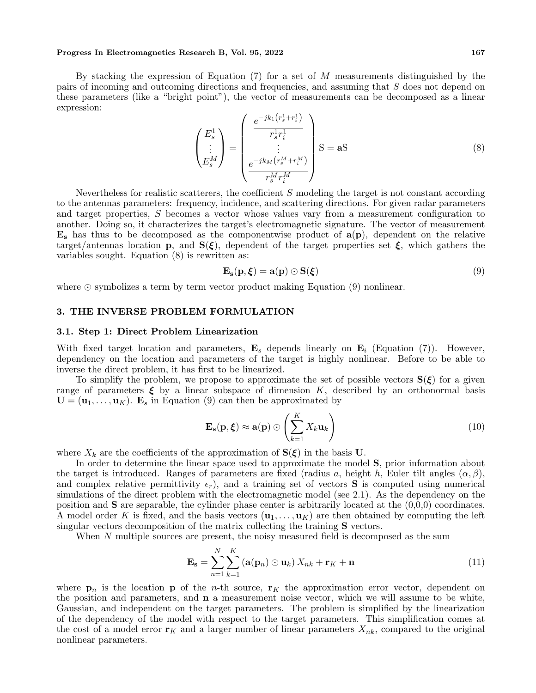By stacking the expression of Equation (7) for a set of *M* measurements distinguished by the pairs of incoming and outcoming directions and frequencies, and assuming that *S* does not depend on these parameters (like a "bright point"), the vector of measurements can be decomposed as a linear expression:

$$
\begin{pmatrix} E_s^1 \\ \vdots \\ E_s^M \end{pmatrix} = \begin{pmatrix} \frac{e^{-jk_1(r_s^1 + r_i^1)}}{r_s^1 r_i^1} \\ \vdots \\ \frac{e^{-jk_M(r_s^M + r_i^M)}}{r_s^M r_i^M} \end{pmatrix} S = aS
$$
 (8)

Nevertheless for realistic scatterers, the coefficient *S* modeling the target is not constant according to the antennas parameters: frequency, incidence, and scattering directions. For given radar parameters and target properties, *S* becomes a vector whose values vary from a measurement configuration to another. Doing so, it characterizes the target's electromagnetic signature. The vector of measurement **E<sup>s</sup>** has thus to be decomposed as the componentwise product of **a**(**p**), dependent on the relative target/antennas location **p**, and **S**( $\xi$ ), dependent of the target properties set  $\xi$ , which gathers the variables sought. Equation (8) is rewritten as:

$$
\mathbf{E}_{\mathbf{s}}(\mathbf{p}, \boldsymbol{\xi}) = \mathbf{a}(\mathbf{p}) \odot \mathbf{S}(\boldsymbol{\xi}) \tag{9}
$$

where *⊙* symbolizes a term by term vector product making Equation (9) nonlinear.

# **3. THE INVERSE PROBLEM FORMULATION**

#### **3.1. Step 1: Direct Problem Linearization**

With fixed target location and parameters, **E***<sup>s</sup>* depends linearly on **E***<sup>i</sup>* (Equation (7)). However, dependency on the location and parameters of the target is highly nonlinear. Before to be able to inverse the direct problem, it has first to be linearized.

To simplify the problem, we propose to approximate the set of possible vectors  $S(\xi)$  for a given range of parameters  $\xi$  by a linear subspace of dimension  $K$ , described by an orthonormal basis  $\mathbf{U} = (\mathbf{u}_1, \dots, \mathbf{u}_K)$ .  $\mathbf{E}_s$  in Equation (9) can then be approximated by

$$
\mathbf{E}_{\mathbf{s}}(\mathbf{p}, \boldsymbol{\xi}) \approx \mathbf{a}(\mathbf{p}) \odot \left(\sum_{k=1}^{K} X_k \mathbf{u}_k\right)
$$
(10)

where  $X_k$  are the coefficients of the approximation of  $S(\xi)$  in the basis **U**.

In order to determine the linear space used to approximate the model **S**, prior information about the target is introduced. Ranges of parameters are fixed (radius *a*, height *h*, Euler tilt angles  $(\alpha, \beta)$ , and complex relative permittivity  $\epsilon_r$ ), and a training set of vectors **S** is computed using numerical simulations of the direct problem with the electromagnetic model (see 2.1). As the dependency on the position and  $S$  are separable, the cylinder phase center is arbitrarily located at the  $(0,0,0)$  coordinates. A model order K is fixed, and the basis vectors  $(\mathbf{u}_1, \dots, \mathbf{u}_K)$  are then obtained by computing the left singular vectors decomposition of the matrix collecting the training **S** vectors.

When N multiple sources are present, the noisy measured field is decomposed as the sum

$$
\mathbf{E}_{\mathbf{s}} = \sum_{n=1}^{N} \sum_{k=1}^{K} \left( \mathbf{a}(\mathbf{p}_n) \odot \mathbf{u}_k \right) X_{nk} + \mathbf{r}_K + \mathbf{n}
$$
\n(11)

where  $\mathbf{p}_n$  is the location **p** of the *n*-th source,  $\mathbf{r}_K$  the approximation error vector, dependent on the position and parameters, and **n** a measurement noise vector, which we will assume to be white, Gaussian, and independent on the target parameters. The problem is simplified by the linearization of the dependency of the model with respect to the target parameters. This simplification comes at the cost of a model error  $\mathbf{r}_K$  and a larger number of linear parameters  $X_{nk}$ , compared to the original nonlinear parameters.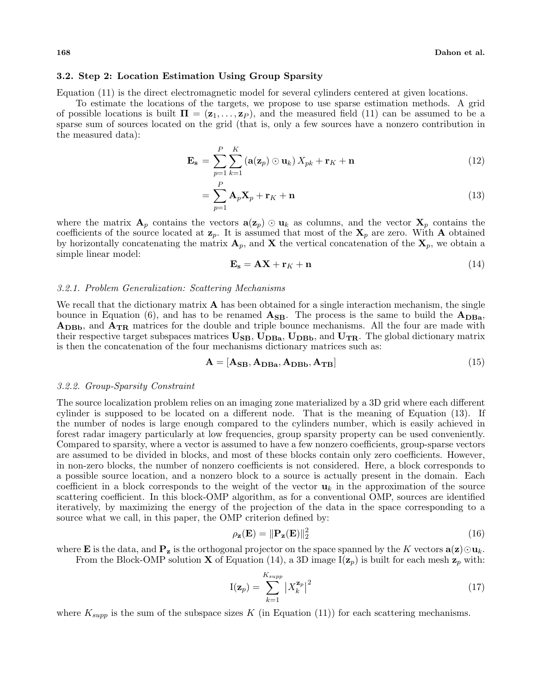# **3.2. Step 2: Location Estimation Using Group Sparsity**

Equation (11) is the direct electromagnetic model for several cylinders centered at given locations.

To estimate the locations of the targets, we propose to use sparse estimation methods. A grid of possible locations is built  $\Pi = (\mathbf{z}_1, \dots, \mathbf{z}_P)$ , and the measured field (11) can be assumed to be a sparse sum of sources located on the grid (that is, only a few sources have a nonzero contribution in the measured data):

$$
\mathbf{E_s} = \sum_{p=1}^{P} \sum_{k=1}^{K} \left( \mathbf{a}(\mathbf{z}_p) \odot \mathbf{u}_k \right) X_{pk} + \mathbf{r}_K + \mathbf{n}
$$
\n(12)

$$
=\sum_{p=1}^{P} \mathbf{A}_p \mathbf{X}_p + \mathbf{r}_K + \mathbf{n}
$$
\n(13)

where the matrix  $\mathbf{A}_p$  contains the vectors  $\mathbf{a}(\mathbf{z}_p) \odot \mathbf{u}_k$  as columns, and the vector  $\mathbf{X}_p$  contains the coefficients of the source located at  $\mathbf{z}_p$ . It is assumed that most of the  $\mathbf{X}_p$  are zero. With **A** obtained by horizontally concatenating the matrix  $\mathbf{A}_p$ , and **X** the vertical concatenation of the  $\mathbf{X}_p$ , we obtain a simple linear model:

$$
\mathbf{E_s} = \mathbf{A}\mathbf{X} + \mathbf{r}_K + \mathbf{n} \tag{14}
$$

#### *3.2.1. Problem Generalization: Scattering Mechanisms*

We recall that the dictionary matrix **A** has been obtained for a single interaction mechanism, the single bounce in Equation (6), and has to be renamed  $\mathbf{A}_{\text{SB}}$ . The process is the same to build the  $\mathbf{A}_{\text{DBa}}$ , **ADBb**, and **ATR** matrices for the double and triple bounce mechanisms. All the four are made with their respective target subspaces matrices  $\mathbf{U}_{\text{SB}}$ ,  $\mathbf{U}_{\text{DBa}}$ ,  $\mathbf{U}_{\text{DBb}}$ , and  $\mathbf{U}_{\text{TR}}$ . The global dictionary matrix is then the concatenation of the four mechanisms dictionary matrices such as:

$$
\mathbf{A} = [\mathbf{A}_{\mathbf{SB}}, \mathbf{A}_{\mathbf{DBa}}, \mathbf{A}_{\mathbf{DBb}}, \mathbf{A}_{\mathbf{TB}}]
$$
(15)

# *3.2.2. Group-Sparsity Constraint*

The source localization problem relies on an imaging zone materialized by a 3D grid where each different cylinder is supposed to be located on a different node. That is the meaning of Equation (13). If the number of nodes is large enough compared to the cylinders number, which is easily achieved in forest radar imagery particularly at low frequencies, group sparsity property can be used conveniently. Compared to sparsity, where a vector is assumed to have a few nonzero coefficients, group-sparse vectors are assumed to be divided in blocks, and most of these blocks contain only zero coefficients. However, in non-zero blocks, the number of nonzero coefficients is not considered. Here, a block corresponds to a possible source location, and a nonzero block to a source is actually present in the domain. Each coefficient in a block corresponds to the weight of the vector  $\mathbf{u}_k$  in the approximation of the source scattering coefficient. In this block-OMP algorithm, as for a conventional OMP, sources are identified iteratively, by maximizing the energy of the projection of the data in the space corresponding to a source what we call, in this paper, the OMP criterion defined by:

$$
\rho_{\mathbf{z}}(\mathbf{E}) = \|\mathbf{P}_{\mathbf{z}}(\mathbf{E})\|_{2}^{2} \tag{16}
$$

where **E** is the data, and  $\mathbf{P}_{z}$  is the orthogonal projector on the space spanned by the *K* vectors  $\mathbf{a}(z) \odot \mathbf{u}_{k}$ . From the Block-OMP solution **X** of Equation (14), a 3D image  $I(z_p)$  is built for each mesh  $z_p$  with:

$$
\mathbf{I}(\mathbf{z}_p) = \sum_{k=1}^{K_{supp}} \left| X_k^{\mathbf{z}_p} \right|^2 \tag{17}
$$

where  $K_{supp}$  is the sum of the subspace sizes  $K$  (in Equation (11)) for each scattering mechanisms.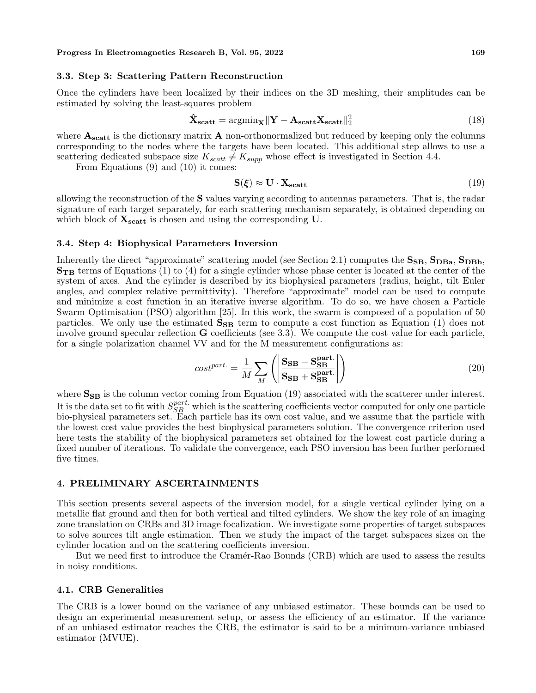# **3.3. Step 3: Scattering Pattern Reconstruction**

Once the cylinders have been localized by their indices on the 3D meshing, their amplitudes can be estimated by solving the least-squares problem

$$
\hat{\mathbf{X}}_{\text{scatt}} = \operatorname{argmin}_{\mathbf{X}} \|\mathbf{Y} - \mathbf{A}_{\text{scatt}} \mathbf{X}_{\text{scatt}}\|_{2}^{2}
$$
\n(18)

where  $\mathbf{A}_{\text{scatt}}$  is the dictionary matrix  $\mathbf{A}$  non-orthonormalized but reduced by keeping only the columns corresponding to the nodes where the targets have been located. This additional step allows to use a scattering dedicated subspace size  $K_{scatt} \neq K_{supp}$  whose effect is investigated in Section 4.4.

From Equations (9) and (10) it comes:

$$
S(\xi) \approx U \cdot X_{scatt} \tag{19}
$$

allowing the reconstruction of the **S** values varying according to antennas parameters. That is, the radar signature of each target separately, for each scattering mechanism separately, is obtained depending on which block of **Xscatt** is chosen and using the corresponding **U**.

### **3.4. Step 4: Biophysical Parameters Inversion**

Inherently the direct "approximate" scattering model (see Section 2.1) computes the  $S_{SB}$ ,  $S_{DBa}$ ,  $S_{DBb}$ , **STB** terms of Equations (1) to (4) for a single cylinder whose phase center is located at the center of the system of axes. And the cylinder is described by its biophysical parameters (radius, height, tilt Euler angles, and complex relative permittivity). Therefore "approximate" model can be used to compute and minimize a cost function in an iterative inverse algorithm. To do so, we have chosen a Particle Swarm Optimisation (PSO) algorithm [25]. In this work, the swarm is composed of a population of 50 particles. We only use the estimated  $S_{SB}$  term to compute a cost function as Equation (1) does not involve ground specular reflection **G** coefficients (see 3.3). We compute the cost value for each particle, for a single polarization channel VV and for the M measurement configurations as:

$$
cost^{part.} = \frac{1}{M} \sum_{M} \left( \left| \frac{\mathbf{S}_{SB} - \mathbf{S}_{SB}^{\text{part.}}}{\mathbf{S}_{SB} + \mathbf{S}_{SB}^{\text{part.}}} \right| \right)
$$
(20)

where  $S_{SB}$  is the column vector coming from Equation (19) associated with the scatterer under interest. It is the data set to fit with  $S_{SB}^{part}$  which is the scattering coefficients vector computed for only one particle bio-physical parameters set. Each particle has its own cost value, and we assume that the particle with the lowest cost value provides the best biophysical parameters solution. The convergence criterion used here tests the stability of the biophysical parameters set obtained for the lowest cost particle during a fixed number of iterations. To validate the convergence, each PSO inversion has been further performed five times.

# **4. PRELIMINARY ASCERTAINMENTS**

This section presents several aspects of the inversion model, for a single vertical cylinder lying on a metallic flat ground and then for both vertical and tilted cylinders. We show the key role of an imaging zone translation on CRBs and 3D image focalization. We investigate some properties of target subspaces to solve sources tilt angle estimation. Then we study the impact of the target subspaces sizes on the cylinder location and on the scattering coefficients inversion.

But we need first to introduce the Cramér-Rao Bounds (CRB) which are used to assess the results in noisy conditions.

# **4.1. CRB Generalities**

The CRB is a lower bound on the variance of any unbiased estimator. These bounds can be used to design an experimental measurement setup, or assess the efficiency of an estimator. If the variance of an unbiased estimator reaches the CRB, the estimator is said to be a minimum-variance unbiased estimator (MVUE).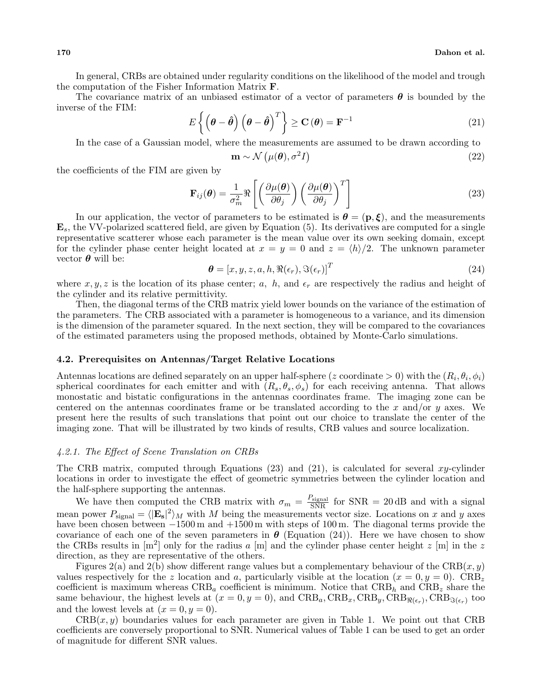In general, CRBs are obtained under regularity conditions on the likelihood of the model and trough the computation of the Fisher Information Matrix **F**.

The covariance matrix of an unbiased estimator of a vector of parameters *θ* is bounded by the inverse of the FIM:

$$
E\left\{ \left(\boldsymbol{\theta} - \hat{\boldsymbol{\theta}}\right) \left(\boldsymbol{\theta} - \hat{\boldsymbol{\theta}}\right)^{T} \right\} \ge \mathbf{C}\left(\boldsymbol{\theta}\right) = \mathbf{F}^{-1}
$$
\n(21)

In the case of a Gaussian model, where the measurements are assumed to be drawn according to

$$
\mathbf{m} \sim \mathcal{N}\left(\mu(\boldsymbol{\theta}), \sigma^2 I\right) \tag{22}
$$

the coefficients of the FIM are given by

$$
\mathbf{F}_{ij}(\boldsymbol{\theta}) = \frac{1}{\sigma_m^2} \Re \left[ \left( \frac{\partial \mu(\boldsymbol{\theta})}{\partial \theta_j} \right) \left( \frac{\partial \mu(\boldsymbol{\theta})}{\partial \theta_j} \right)^T \right]
$$
(23)

In our application, the vector of parameters to be estimated is  $\theta = (\mathbf{p}, \boldsymbol{\xi})$ , and the measurements **E***s*, the VV-polarized scattered field, are given by Equation (5). Its derivatives are computed for a single representative scatterer whose each parameter is the mean value over its own seeking domain, except for the cylinder phase center height located at  $x = y = 0$  and  $z = \langle h \rangle/2$ . The unknown parameter vector  $\theta$  will be:

$$
\boldsymbol{\theta} = [x, y, z, a, h, \Re(\epsilon_r), \Im(\epsilon_r)]^T
$$
\n(24)

where  $x, y, z$  is the location of its phase center;  $a, h$ , and  $\epsilon_r$  are respectively the radius and height of the cylinder and its relative permittivity.

Then, the diagonal terms of the CRB matrix yield lower bounds on the variance of the estimation of the parameters. The CRB associated with a parameter is homogeneous to a variance, and its dimension is the dimension of the parameter squared. In the next section, they will be compared to the covariances of the estimated parameters using the proposed methods, obtained by Monte-Carlo simulations.

### **4.2. Prerequisites on Antennas/Target Relative Locations**

Antennas locations are defined separately on an upper half-sphere (*z* coordinate  $> 0$ ) with the ( $R_i$ ,  $\theta_i$ ,  $\phi_i$ ) spherical coordinates for each emitter and with  $(R_s, \theta_s, \phi_s)$  for each receiving antenna. That allows monostatic and bistatic configurations in the antennas coordinates frame. The imaging zone can be centered on the antennas coordinates frame or be translated according to the *x* and/or *y* axes. We present here the results of such translations that point out our choice to translate the center of the imaging zone. That will be illustrated by two kinds of results, CRB values and source localization.

### *4.2.1. The Effect of Scene Translation on CRBs*

The CRB matrix, computed through Equations (23) and (21), is calculated for several *xy*-cylinder locations in order to investigate the effect of geometric symmetries between the cylinder location and the half-sphere supporting the antennas.

We have then computed the CRB matrix with  $\sigma_m = \frac{P_{\text{signal}}}{\text{SNR}}$  for SNR = 20 dB and with a signal mean power  $P_{\text{signal}} = \langle |\mathbf{E_s}|^2 \rangle_M$  with *M* being the measurements vector size. Locations on *x* and *y* axes have been chosen between *−*1500 m and +1500 m with steps of 100 m. The diagonal terms provide the covariance of each one of the seven parameters in  $\theta$  (Equation (24)). Here we have chosen to show the CRBs results in [m<sup>2</sup> ] only for the radius *a* [m] and the cylinder phase center height *z* [m] in the *z* direction, as they are representative of the others.

Figures 2(a) and 2(b) show different range values but a complementary behaviour of the CRB(*x, y*) values respectively for the *z* location and *a*, particularly visible at the location  $(x = 0, y = 0)$ . CRB<sub>z</sub> coefficient is maximum whereas  $CRB_a$  coefficient is minimum. Notice that  $CRB_h$  and  $CRB_z$  share the same behaviour, the highest levels at  $(x = 0, y = 0)$ , and  $CRB_a$ ,  $CRB_x$ ,  $CRB_y$ ,  $CRB_{\Re(\epsilon_r)}$ ,  $CRB_{\Im(\epsilon_r)}$  too and the lowest levels at  $(x = 0, y = 0)$ .

 $CRB(x, y)$  boundaries values for each parameter are given in Table 1. We point out that CRB coefficients are conversely proportional to SNR. Numerical values of Table 1 can be used to get an order of magnitude for different SNR values.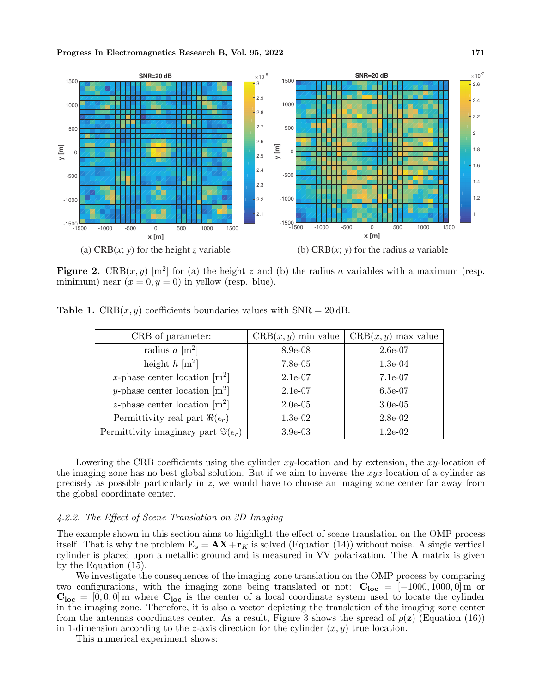

**Figure 2.** CRB $(x, y)$  [m<sup>2</sup>] for (a) the height *z* and (b) the radius *a* variables with a maximum (resp. minimum) near  $(x = 0, y = 0)$  in yellow (resp. blue).

**Table 1.** CRB $(x, y)$  coefficients boundaries values with  $SNR = 20$  dB.

| CRB of parameter:                             | $CRB(x, y)$ min value | $CRB(x, y)$ max value |
|-----------------------------------------------|-----------------------|-----------------------|
| radius $a \, [\text{m}^2]$                    | 8.9e-08               | 2.6e-07               |
| height $h \text{ [m}^2$                       | $7.8e-05$             | $1.3e-04$             |
| x-phase center location $[m^2]$               | $2.1e-07$             | $7.1e-07$             |
| y-phase center location $[m^2]$               | $2.1e-07$             | $6.5e-07$             |
| <i>z</i> -phase center location $[m^2]$       | $2.0e-0.5$            | $3.0e-0.5$            |
| Permittivity real part $\Re(\epsilon_r)$      | $1.3e-02$             | $2.8e-02$             |
| Permittivity imaginary part $\Im(\epsilon_r)$ | $3.9e-03$             | $1.2e-0.2$            |

Lowering the CRB coefficients using the cylinder *xy*-location and by extension, the *xy*-location of the imaging zone has no best global solution. But if we aim to inverse the *xyz*-location of a cylinder as precisely as possible particularly in *z*, we would have to choose an imaging zone center far away from the global coordinate center.

### *4.2.2. The Effect of Scene Translation on 3D Imaging*

The example shown in this section aims to highlight the effect of scene translation on the OMP process itself. That is why the problem  $\mathbf{E_s} = \mathbf{AX} + \mathbf{r}_K$  is solved (Equation (14)) without noise. A single vertical cylinder is placed upon a metallic ground and is measured in VV polarization. The **A** matrix is given by the Equation (15).

We investigate the consequences of the imaging zone translation on the OMP process by comparing two configurations, with the imaging zone being translated or not:  $C_{loc} = [-1000, 1000, 0]$  m or  $C_{\text{loc}} = [0, 0, 0]$  m where  $C_{\text{loc}}$  is the center of a local coordinate system used to locate the cylinder in the imaging zone. Therefore, it is also a vector depicting the translation of the imaging zone center from the antennas coordinates center. As a result, Figure 3 shows the spread of  $\rho(z)$  (Equation (16)) in 1-dimension according to the *z*-axis direction for the cylinder  $(x, y)$  true location.

This numerical experiment shows: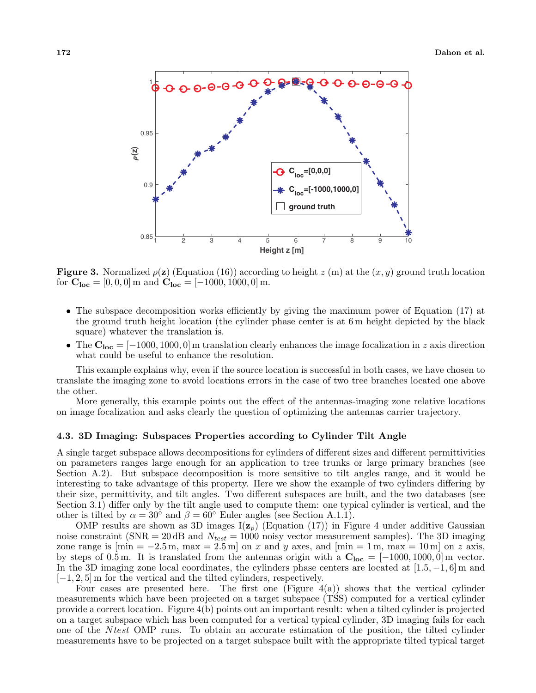

**Figure 3.** Normalized  $\rho(\mathbf{z})$  (Equation (16)) according to height  $z$  (m) at the  $(x, y)$  ground truth location for  $C_{loc} = [0, 0, 0]$  m and  $C_{loc} = [-1000, 1000, 0]$  m.

- The subspace decomposition works efficiently by giving the maximum power of Equation (17) at the ground truth height location (the cylinder phase center is at 6 m height depicted by the black square) whatever the translation is.
- *•* The **Cloc** = [*−*1000*,* 1000*,* 0] m translation clearly enhances the image focalization in *z* axis direction what could be useful to enhance the resolution.

This example explains why, even if the source location is successful in both cases, we have chosen to translate the imaging zone to avoid locations errors in the case of two tree branches located one above the other.

More generally, this example points out the effect of the antennas-imaging zone relative locations on image focalization and asks clearly the question of optimizing the antennas carrier trajectory.

# **4.3. 3D Imaging: Subspaces Properties according to Cylinder Tilt Angle**

A single target subspace allows decompositions for cylinders of different sizes and different permittivities on parameters ranges large enough for an application to tree trunks or large primary branches (see Section A.2). But subspace decomposition is more sensitive to tilt angles range, and it would be interesting to take advantage of this property. Here we show the example of two cylinders differing by their size, permittivity, and tilt angles. Two different subspaces are built, and the two databases (see Section 3.1) differ only by the tilt angle used to compute them: one typical cylinder is vertical, and the other is tilted by  $\alpha = 30^{\circ}$  and  $\beta = 60^{\circ}$  Euler angles (see Section A.1.1).

OMP results are shown as 3D images  $I(z_p)$  (Equation (17)) in Figure 4 under additive Gaussian noise constraint (SNR = 20 dB and *Ntest* = 1000 noisy vector measurement samples). The 3D imaging zone range is  $[\min = -2.5 \text{ m}, \max = 2.5 \text{ m}]$  on *x* and *y* axes, and  $[\min = 1 \text{ m}, \max = 10 \text{ m}]$  on *z* axis, by steps of 0.5 m. It is translated from the antennas origin with a  $C_{loc} = [-1000, 1000, 0]$  m vector. In the 3D imaging zone local coordinates, the cylinders phase centers are located at [1*.*5*, −*1*,* 6] m and [*−*1*,* 2*,* 5] m for the vertical and the tilted cylinders, respectively.

Four cases are presented here. The first one (Figure 4(a)) shows that the vertical cylinder measurements which have been projected on a target subspace (TSS) computed for a vertical cylinder provide a correct location. Figure 4(b) points out an important result: when a tilted cylinder is projected on a target subspace which has been computed for a vertical typical cylinder, 3D imaging fails for each one of the *N test* OMP runs. To obtain an accurate estimation of the position, the tilted cylinder measurements have to be projected on a target subspace built with the appropriate tilted typical target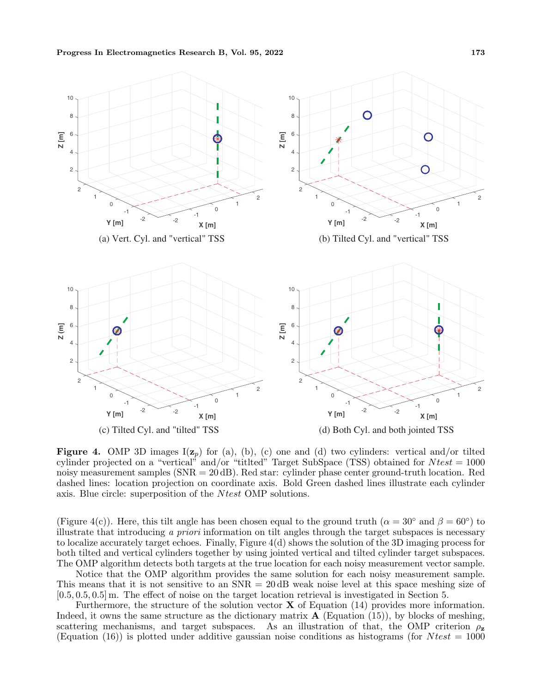

**Figure 4.** OMP 3D images  $I(z_p)$  for (a), (b), (c) one and (d) two cylinders: vertical and/or tilted cylinder projected on a "vertical" and/or "titlted" Target SubSpace (TSS) obtained for *N test* = 1000 noisy measurement samples (SNR = 20 dB). Red star: cylinder phase center ground-truth location. Red dashed lines: location projection on coordinate axis. Bold Green dashed lines illustrate each cylinder axis. Blue circle: superposition of the *N test* OMP solutions.

(Figure 4(c)). Here, this tilt angle has been chosen equal to the ground truth ( $\alpha = 30^\circ$  and  $\beta = 60^\circ$ ) to illustrate that introducing *a priori* information on tilt angles through the target subspaces is necessary to localize accurately target echoes. Finally, Figure 4(d) shows the solution of the 3D imaging process for both tilted and vertical cylinders together by using jointed vertical and tilted cylinder target subspaces. The OMP algorithm detects both targets at the true location for each noisy measurement vector sample.

Notice that the OMP algorithm provides the same solution for each noisy measurement sample. This means that it is not sensitive to an  $SNR = 20$  dB weak noise level at this space meshing size of [0*.*5*,* 0*.*5*,* 0*.*5] m. The effect of noise on the target location retrieval is investigated in Section 5.

Furthermore, the structure of the solution vector **X** of Equation (14) provides more information. Indeed, it owns the same structure as the dictionary matrix **A** (Equation (15)), by blocks of meshing, scattering mechanisms, and target subspaces. As an illustration of that, the OMP criterion  $\rho_z$ (Equation  $(16)$ ) is plotted under additive gaussian noise conditions as histograms (for *N test* = 1000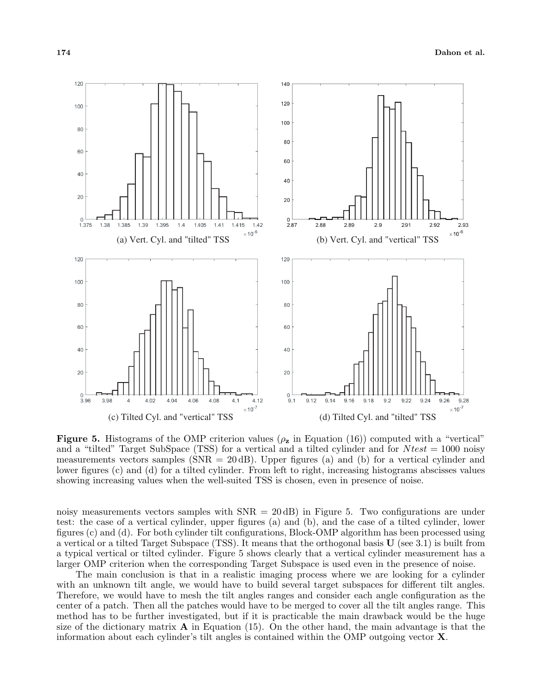

**Figure 5.** Histograms of the OMP criterion values  $(\rho_{\mathbf{z}})$  in Equation (16)) computed with a "vertical" and a "tilted" Target SubSpace (TSS) for a vertical and a tilted cylinder and for *N test* = 1000 noisy measurements vectors samples ( $SNR = 20$  dB). Upper figures (a) and (b) for a vertical cylinder and lower figures (c) and (d) for a tilted cylinder. From left to right, increasing histograms abscisses values showing increasing values when the well-suited TSS is chosen, even in presence of noise.

noisy measurements vectors samples with  $SNR = 20$  dB) in Figure 5. Two configurations are under test: the case of a vertical cylinder, upper figures (a) and (b), and the case of a tilted cylinder, lower figures (c) and (d). For both cylinder tilt configurations, Block-OMP algorithm has been processed using a vertical or a tilted Target Subspace (TSS). It means that the orthogonal basis **U** (see 3.1) is built from a typical vertical or tilted cylinder. Figure 5 shows clearly that a vertical cylinder measurement has a larger OMP criterion when the corresponding Target Subspace is used even in the presence of noise.

The main conclusion is that in a realistic imaging process where we are looking for a cylinder with an unknown tilt angle, we would have to build several target subspaces for different tilt angles. Therefore, we would have to mesh the tilt angles ranges and consider each angle configuration as the center of a patch. Then all the patches would have to be merged to cover all the tilt angles range. This method has to be further investigated, but if it is practicable the main drawback would be the huge size of the dictionary matrix  $\bf{A}$  in Equation (15). On the other hand, the main advantage is that the information about each cylinder's tilt angles is contained within the OMP outgoing vector **X**.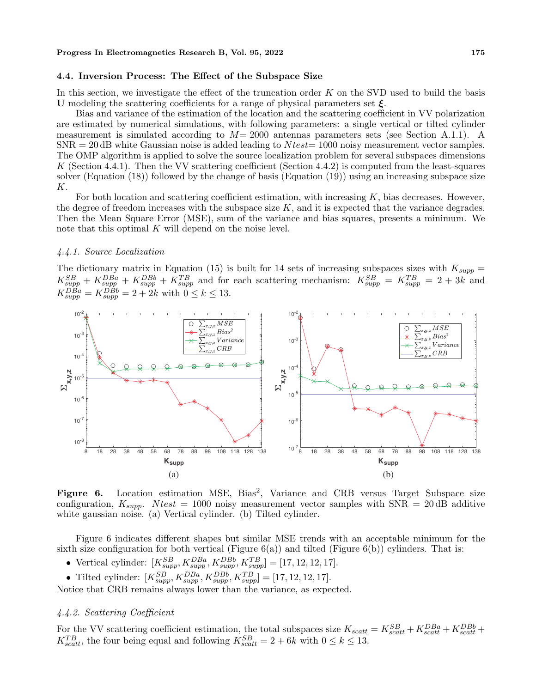# **4.4. Inversion Process: The Effect of the Subspace Size**

In this section, we investigate the effect of the truncation order *K* on the SVD used to build the basis **U** modeling the scattering coefficients for a range of physical parameters set *ξ*.

Bias and variance of the estimation of the location and the scattering coefficient in VV polarization are estimated by numerical simulations, with following parameters: a single vertical or tilted cylinder measurement is simulated according to *M*= 2000 antennas parameters sets (see Section A.1.1). A SNR = 20 dB white Gaussian noise is added leading to *N test*= 1000 noisy measurement vector samples. The OMP algorithm is applied to solve the source localization problem for several subspaces dimensions *K* (Section 4.4.1). Then the VV scattering coefficient (Section 4.4.2) is computed from the least-squares solver (Equation (18)) followed by the change of basis (Equation (19)) using an increasing subspace size *K*.

For both location and scattering coefficient estimation, with increasing *K*, bias decreases. However, the degree of freedom increases with the subspace size *K*, and it is expected that the variance degrades. Then the Mean Square Error (MSE), sum of the variance and bias squares, presents a minimum. We note that this optimal *K* will depend on the noise level.

#### *4.4.1. Source Localization*

The dictionary matrix in Equation (15) is built for 14 sets of increasing subspaces sizes with  $K_{supp} =$  $K_{supp}^{SB} + K_{supp}^{DBa} + K_{supp}^{DBb} + K_{supp}^{TB}$  and for each scattering mechanism:  $K_{supp}^{SB} = K_{supp}^{TB} = 2 + 3k$  and  $K_{supp}^{DBa} = K_{supp}^{DBb} = 2 + 2k$  with  $0 \le k \le 13$ .



Figure 6. Location estimation MSE, Bias<sup>2</sup>, Variance and CRB versus Target Subspace size configuration,  $K_{supp}$ . *Ntest* = 1000 noisy measurement vector samples with SNR = 20 dB additive white gaussian noise. (a) Vertical cylinder. (b) Tilted cylinder.

Figure 6 indicates different shapes but similar MSE trends with an acceptable minimum for the sixth size configuration for both vertical (Figure  $6(a)$ ) and tilted (Figure  $6(b)$ ) cylinders. That is:

- Vertical cylinder:  $[K_{supp}^{SB}, K_{supp}^{DBa}, K_{supp}^{DBb}, K_{supp}^{TB}] = [17, 12, 12, 17].$
- Tilted cylinder:  $[K_{supp}^{SB}, K_{supp}^{DBa}, K_{supp}^{DBb}, K_{supp}^{TB}] = [17, 12, 12, 17].$

Notice that CRB remains always lower than the variance, as expected.

# *4.4.2. Scattering Coefficient*

For the VV scattering coefficient estimation, the total subspaces size  $K_{scatt} = K_{scatt}^{SB} + K_{scatt}^{DBa} + K_{scatt}^{DBb} + K_{scatt}^{BBb}$  $K_{scatt}^{TB}$ , the four being equal and following  $K_{scatt}^{SB} = 2 + 6k$  with  $0 \le k \le 13$ .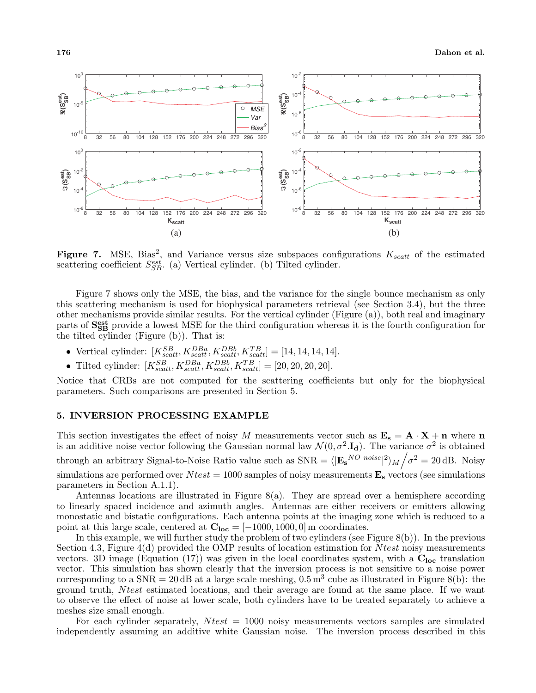

Figure 7. MSE, Bias<sup>2</sup>, and Variance versus size subspaces configurations  $K_{scatt}$  of the estimated scattering coefficient  $S_{SB}^{est}$ . (a) Vertical cylinder. (b) Tilted cylinder.

Figure 7 shows only the MSE, the bias, and the variance for the single bounce mechanism as only this scattering mechanism is used for biophysical parameters retrieval (see Section 3.4), but the three other mechanisms provide similar results. For the vertical cylinder (Figure (a)), both real and imaginary parts of  $S_{SB}^{\text{est}}$  provide a lowest MSE for the third configuration whereas it is the fourth configuration for the tilted cylinder (Figure (b)). That is:

- Vertical cylinder:  $[K_{scatt}^{SB}, K_{scatt}^{DBa}, K_{scatt}^{DBb}, K_{scatt}^{TB}] = [14, 14, 14, 14].$
- Tilted cylinder:  $[K_{scatt}^{SB}, K_{scatt}^{DBa}, K_{scatt}^{DBb}, K_{scatt}^{TB}] = [20, 20, 20, 20].$

Notice that CRBs are not computed for the scattering coefficients but only for the biophysical parameters. Such comparisons are presented in Section 5.

# **5. INVERSION PROCESSING EXAMPLE**

This section investigates the effect of noisy *M* measurements vector such as  $\mathbf{E_s} = \mathbf{A} \cdot \mathbf{X} + \mathbf{n}$  where  $\mathbf{n}$ is an additive noise vector following the Gaussian normal law  $\mathcal{N}(0, \sigma^2 \cdot \mathbf{I_d})$ . The variance  $\sigma^2$  is obtained through an arbitrary Signal-to-Noise Ratio value such as  $SNR = \langle | \mathbf{E_s}^{NO \ noise} |^2 \rangle_M / \sigma^2 = 20 \, \text{dB}$ . Noisy simulations are performed over  $N test = 1000$  samples of noisy measurements  $\mathbf{E}_s$  vectors (see simulations parameters in Section A.1.1).

Antennas locations are illustrated in Figure 8(a). They are spread over a hemisphere according to linearly spaced incidence and azimuth angles. Antennas are either receivers or emitters allowing monostatic and bistatic configurations. Each antenna points at the imaging zone which is reduced to a point at this large scale, centered at  $C_{loc} = [-1000, 1000, 0]$  m coordinates.

In this example, we will further study the problem of two cylinders (see Figure 8(b)). In the previous Section 4.3, Figure 4(d) provided the OMP results of location estimation for *N test* noisy measurements vectors. 3D image (Equation (17)) was given in the local coordinates system, with a **Cloc** translation vector. This simulation has shown clearly that the inversion process is not sensitive to a noise power corresponding to a  $SNR = 20$  dB at a large scale meshing,  $0.5 \text{ m}^3$  cube as illustrated in Figure 8(b): the ground truth, *N test* estimated locations, and their average are found at the same place. If we want to observe the effect of noise at lower scale, both cylinders have to be treated separately to achieve a meshes size small enough.

For each cylinder separately, *N test* = 1000 noisy measurements vectors samples are simulated independently assuming an additive white Gaussian noise. The inversion process described in this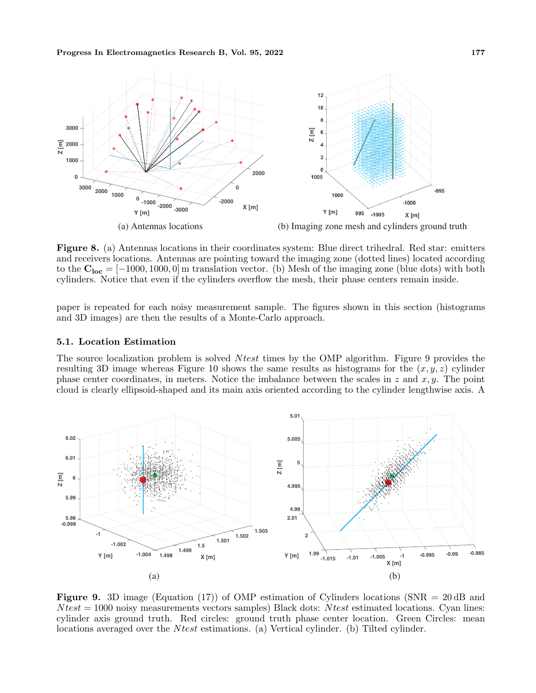

**Figure 8.** (a) Antennas locations in their coordinates system: Blue direct trihedral. Red star: emitters and receivers locations. Antennas are pointing toward the imaging zone (dotted lines) located according to the  $C_{loc} = [-1000, 1000, 0]$  m translation vector. (b) Mesh of the imaging zone (blue dots) with both cylinders. Notice that even if the cylinders overflow the mesh, their phase centers remain inside.

paper is repeated for each noisy measurement sample. The figures shown in this section (histograms and 3D images) are then the results of a Monte-Carlo approach.

# **5.1. Location Estimation**

The source localization problem is solved *N test* times by the OMP algorithm. Figure 9 provides the resulting 3D image whereas Figure 10 shows the same results as histograms for the  $(x, y, z)$  cylinder phase center coordinates, in meters. Notice the imbalance between the scales in *z* and *x, y*. The point cloud is clearly ellipsoid-shaped and its main axis oriented according to the cylinder lengthwise axis. A



**Figure 9.** 3D image (Equation (17)) of OMP estimation of Cylinders locations (SNR = 20 dB and *N test* = 1000 noisy measurements vectors samples) Black dots: *N test* estimated locations. Cyan lines: cylinder axis ground truth. Red circles: ground truth phase center location. Green Circles: mean locations averaged over the *N test* estimations. (a) Vertical cylinder. (b) Tilted cylinder.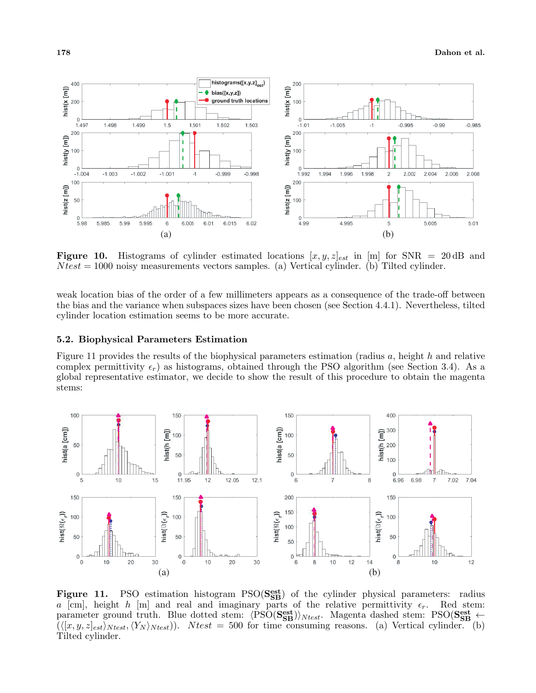

**Figure 10.** Histograms of cylinder estimated locations  $[x, y, z]_{est}$  in [m] for SNR = 20 dB and *N test* = 1000 noisy measurements vectors samples. (a) Vertical cylinder. (b) Tilted cylinder.

weak location bias of the order of a few millimeters appears as a consequence of the trade-off between the bias and the variance when subspaces sizes have been chosen (see Section 4.4.1). Nevertheless, tilted cylinder location estimation seems to be more accurate.

# **5.2. Biophysical Parameters Estimation**

Figure 11 provides the results of the biophysical parameters estimation (radius *a*, height *h* and relative complex permittivity  $\epsilon_r$ ) as histograms, obtained through the PSO algorithm (see Section 3.4). As a global representative estimator, we decide to show the result of this procedure to obtain the magenta stems:



Figure 11. PSO estimation histogram PSO( $S_{SB}^{est}$ ) of the cylinder physical parameters: radius *a* [cm], height *h* [m] and real and imaginary parts of the relative permittivity  $\epsilon_r$ . Red stem:  $\text{parameter ground truth. Blue dotted stem: } \langle \text{PSO}(\mathbf{S}_{\text{SB}}^{\text{est}}) \rangle_{Ntest}$ . Magenta dashed stem: PSO( $\mathbf{S}_{\text{SB}}^{\text{est}} \leftarrow$  $(\langle [x, y, z]_{est}\rangle_{Ntest}, \langle Y_N \rangle_{Ntest})$ ). *Ntest* = 500 for time consuming reasons. (a) Vertical cylinder. (b) Tilted cylinder.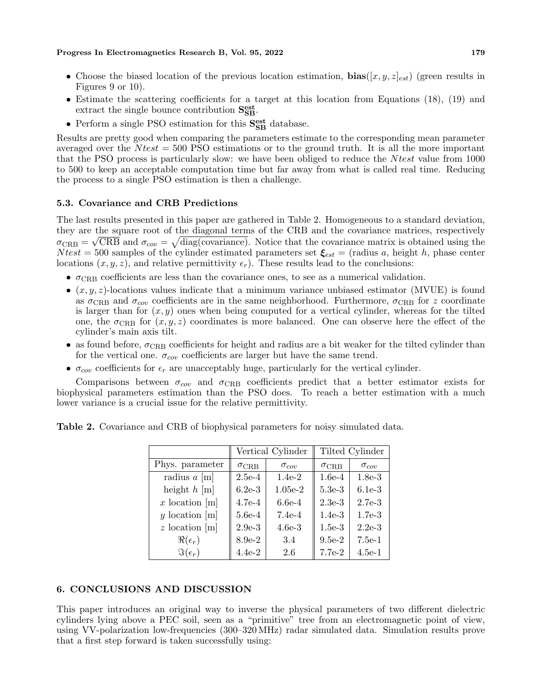- *•* Choose the biased location of the previous location estimation, **bias**([*x, y, z*]*est*) (green results in Figures 9 or 10).
- Estimate the scattering coefficients for a target at this location from Equations (18), (19) and extract the single bounce contribution  $S_{SB}^{\text{est}}$ .
- $\bullet$  Perform a single PSO estimation for this  $\mathbf{S}^{\textbf{est}}_{\textbf{SB}}$  database.

Results are pretty good when comparing the parameters estimate to the corresponding mean parameter averaged over the *N test* = 500 PSO estimations or to the ground truth. It is all the more important that the PSO process is particularly slow: we have been obliged to reduce the *N test* value from 1000 to 500 to keep an acceptable computation time but far away from what is called real time. Reducing the process to a single PSO estimation is then a challenge.

# **5.3. Covariance and CRB Predictions**

The last results presented in this paper are gathered in Table 2. Homogeneous to a standard deviation, they are the square root of the diagonal terms of the CRB and the covariance matrices, respectively  $\sigma_{\rm CRB} = \sqrt{\rm CRB}$  and  $\sigma_{cov} = \sqrt{\rm diag(covariance)}$ . Notice that the covariance matrix is obtained using the *Ntest* = 500 samples of the cylinder estimated parameters set  $\xi_{est}$  = (radius *a*, height *h*, phase center locations  $(x, y, z)$ , and relative permittivity  $\epsilon_r$ ). These results lead to the conclusions:

- $\sigma_{CRB}$  coefficients are less than the covariance ones, to see as a numerical validation.
- *•* (*x, y, z*)-locations values indicate that a minimum variance unbiased estimator (MVUE) is found as  $\sigma_{CRB}$  and  $\sigma_{cov}$  coefficients are in the same neighborhood. Furthermore,  $\sigma_{CRB}$  for *z* coordinate is larger than for  $(x, y)$  ones when being computed for a vertical cylinder, whereas for the tilted one, the  $\sigma_{CRB}$  for  $(x, y, z)$  coordinates is more balanced. One can observe here the effect of the cylinder's main axis tilt.
- as found before,  $\sigma_{CRB}$  coefficients for height and radius are a bit weaker for the tilted cylinder than for the vertical one.  $\sigma_{cov}$  coefficients are larger but have the same trend.
- *• σcov* coefficients for *ϵ<sup>r</sup>* are unacceptably huge, particularly for the vertical cylinder.

Comparisons between  $\sigma_{cov}$  and  $\sigma_{CRB}$  coefficients predict that a better estimator exists for biophysical parameters estimation than the PSO does. To reach a better estimation with a much lower variance is a crucial issue for the relative permittivity.

**Table 2.** Covariance and CRB of biophysical parameters for noisy simulated data.

|                        | Vertical Cylinder  |                | Tilted Cylinder |                |
|------------------------|--------------------|----------------|-----------------|----------------|
| Phys. parameter        | $\sigma_{\rm CRB}$ | $\sigma_{cov}$ | $\sigma$ CRB    | $\sigma_{con}$ |
| radius $a \text{ [m]}$ | $2.5e-4$           | $1.4e-2$       | $1.6e-4$        | $1.8e-3$       |
| height $h$ [m]         | $6.2e-3$           | $1.05e-2$      | $5.3e-3$        | $6.1e-3$       |
| $x$ location [m]       | $4.7e-4$           | $6.6e-4$       | $2.3e-3$        | $2.7e-3$       |
| y location [m]         | $5.6e-4$           | $7.4e-4$       | $1.4e-3$        | $1.7e-3$       |
| $z$ location [m]       | $2.9e-3$           | $4.6e-3$       | $1.5e-3$        | $2.2e-3$       |
| $\Re(\epsilon_r)$      | $8.9e-2$           | 3.4            | $9.5e-2$        | $7.5e-1$       |
| $\Im(\epsilon_r)$      | $4.4e-2$           | 2.6            | $7.7e-2$        | $4.5e-1$       |

# **6. CONCLUSIONS AND DISCUSSION**

This paper introduces an original way to inverse the physical parameters of two different dielectric cylinders lying above a PEC soil, seen as a "primitive" tree from an electromagnetic point of view, using VV-polarization low-frequencies (300–320 MHz) radar simulated data. Simulation results prove that a first step forward is taken successfully using: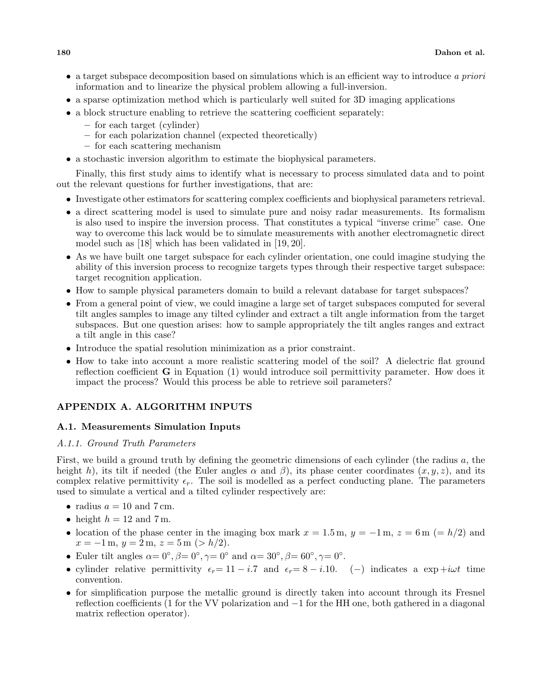- *•* a target subspace decomposition based on simulations which is an efficient way to introduce *a priori* information and to linearize the physical problem allowing a full-inversion.
- a sparse optimization method which is particularly well suited for 3D imaging applications
- a block structure enabling to retrieve the scattering coefficient separately:
	- **–** for each target (cylinder)
	- **–** for each polarization channel (expected theoretically)
	- **–** for each scattering mechanism
- *•* a stochastic inversion algorithm to estimate the biophysical parameters.

Finally, this first study aims to identify what is necessary to process simulated data and to point out the relevant questions for further investigations, that are:

- Investigate other estimators for scattering complex coefficients and biophysical parameters retrieval.
- a direct scattering model is used to simulate pure and noisy radar measurements. Its formalism is also used to inspire the inversion process. That constitutes a typical "inverse crime" case. One way to overcome this lack would be to simulate measurements with another electromagnetic direct model such as [18] which has been validated in [19, 20].
- As we have built one target subspace for each cylinder orientation, one could imagine studying the ability of this inversion process to recognize targets types through their respective target subspace: target recognition application.
- How to sample physical parameters domain to build a relevant database for target subspaces?
- From a general point of view, we could imagine a large set of target subspaces computed for several tilt angles samples to image any tilted cylinder and extract a tilt angle information from the target subspaces. But one question arises: how to sample appropriately the tilt angles ranges and extract a tilt angle in this case?
- Introduce the spatial resolution minimization as a prior constraint.
- How to take into account a more realistic scattering model of the soil? A dielectric flat ground reflection coefficient **G** in Equation (1) would introduce soil permittivity parameter. How does it impact the process? Would this process be able to retrieve soil parameters?

# **APPENDIX A. ALGORITHM INPUTS**

# **A.1. Measurements Simulation Inputs**

# *A.1.1. Ground Truth Parameters*

First, we build a ground truth by defining the geometric dimensions of each cylinder (the radius *a*, the height *h*), its tilt if needed (the Euler angles  $\alpha$  and  $\beta$ ), its phase center coordinates  $(x, y, z)$ , and its complex relative permittivity  $\epsilon_r$ . The soil is modelled as a perfect conducting plane. The parameters used to simulate a vertical and a tilted cylinder respectively are:

- radius  $a = 10$  and  $7 \text{ cm}$ .
- height  $h = 12$  and  $7$  m.
- location of the phase center in the imaging box mark  $x = 1.5$  m,  $y = -1$  m,  $z = 6$  m (=  $h/2$ ) and *x* = *−*1 m, *y* = 2 m, *z* = 5 m (*> h/*2).
- Euler tilt angles  $\alpha = 0^\circ$ ,  $\beta = 0^\circ$ ,  $\gamma = 0^\circ$  and  $\alpha = 30^\circ$ ,  $\beta = 60^\circ$ ,  $\gamma = 0^\circ$ .
- cylinder relative permittivity  $\epsilon_r = 11 i.7$  and  $\epsilon_r = 8 i.10$ . (*−*) indicates a exp +*iωt* time convention.
- for simplification purpose the metallic ground is directly taken into account through its Fresnel reflection coefficients (1 for the VV polarization and *−*1 for the HH one, both gathered in a diagonal matrix reflection operator).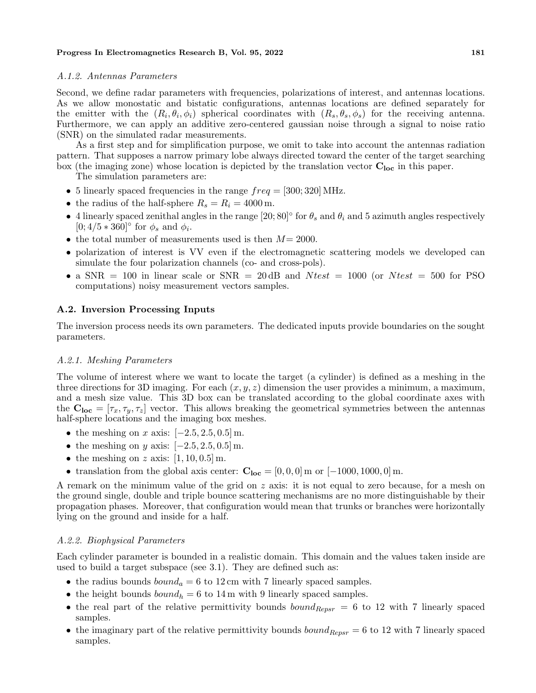# *A.1.2. Antennas Parameters*

Second, we define radar parameters with frequencies, polarizations of interest, and antennas locations. As we allow monostatic and bistatic configurations, antennas locations are defined separately for the emitter with the  $(R_i, \theta_i, \phi_i)$  spherical coordinates with  $(R_s, \theta_s, \phi_s)$  for the receiving antenna. Furthermore, we can apply an additive zero-centered gaussian noise through a signal to noise ratio (SNR) on the simulated radar measurements.

As a first step and for simplification purpose, we omit to take into account the antennas radiation pattern. That supposes a narrow primary lobe always directed toward the center of the target searching box (the imaging zone) whose location is depicted by the translation vector **Cloc** in this paper.

The simulation parameters are:

- 5 linearly spaced frequencies in the range  $freq = [300; 320] \text{ MHz}.$
- the radius of the half-sphere  $R_s = R_i = 4000 \,\text{m}$ .
- 4 linearly spaced zenithal angles in the range  $[20, 80]^\circ$  for  $\theta_s$  and  $\theta_i$  and 5 azimuth angles respectively  $[0; 4/5 * 360]$ ° for  $\phi_s$  and  $\phi_i$ .
- *•* the total number of measurements used is then *M*= 2000.
- polarization of interest is VV even if the electromagnetic scattering models we developed can simulate the four polarization channels (co- and cross-pols).
- a  $SNR = 100$  in linear scale or  $SNR = 20$  dB and  $N test = 1000$  (or  $N test = 500$  for PSO computations) noisy measurement vectors samples.

# **A.2. Inversion Processing Inputs**

The inversion process needs its own parameters. The dedicated inputs provide boundaries on the sought parameters.

# *A.2.1. Meshing Parameters*

The volume of interest where we want to locate the target (a cylinder) is defined as a meshing in the three directions for 3D imaging. For each (*x, y, z*) dimension the user provides a minimum, a maximum, and a mesh size value. This 3D box can be translated according to the global coordinate axes with the  $\mathbf{C}_{\mathbf{loc}} = [\tau_x, \tau_y, \tau_z]$  vector. This allows breaking the geometrical symmetries between the antennas half-sphere locations and the imaging box meshes.

- *•* the meshing on *x* axis: [*−*2*.*5*,* 2*.*5*,* 0*.*5] m.
- *•* the meshing on *y* axis: [*−*2*.*5*,* 2*.*5*,* 0*.*5] m.
- *•* the meshing on *z* axis: [1*,* 10*,* 0*.*5] m.
- translation from the global axis center:  $C_{loc} = [0, 0, 0]$  m or  $[-1000, 1000, 0]$  m.

A remark on the minimum value of the grid on *z* axis: it is not equal to zero because, for a mesh on the ground single, double and triple bounce scattering mechanisms are no more distinguishable by their propagation phases. Moreover, that configuration would mean that trunks or branches were horizontally lying on the ground and inside for a half.

# *A.2.2. Biophysical Parameters*

Each cylinder parameter is bounded in a realistic domain. This domain and the values taken inside are used to build a target subspace (see 3.1). They are defined such as:

- the radius bounds  $bound_a = 6$  to 12 cm with 7 linearly spaced samples.
- the height bounds  $bound_h = 6$  to 14 m with 9 linearly spaced samples.
- the real part of the relative permittivity bounds *bound*<sub>*Repsr*</sub> = 6 to 12 with 7 linearly spaced samples.
- the imaginary part of the relative permittivity bounds  $bound_{Repsr} = 6$  to 12 with 7 linearly spaced samples.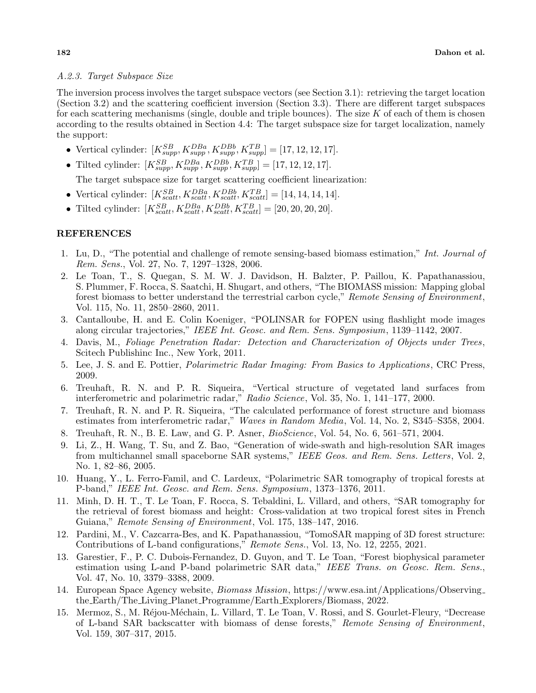# *A.2.3. Target Subspace Size*

The inversion process involves the target subspace vectors (see Section 3.1): retrieving the target location (Section 3.2) and the scattering coefficient inversion (Section 3.3). There are different target subspaces for each scattering mechanisms (single, double and triple bounces). The size *K* of each of them is chosen according to the results obtained in Section 4.4: The target subspace size for target localization, namely the support:

- Vertical cylinder:  $[K_{supp}^{SB}, K_{supp}^{DBa}, K_{supp}^{DBb}, K_{supp}^{TB}] = [17, 12, 12, 17].$
- Tilted cylinder:  $[K_{supp}^{SB}, K_{supp}^{DBa}, K_{supp}^{DBb}, K_{supp}^{TB}] = [17, 12, 12, 17].$

The target subspace size for target scattering coefficient linearization:

- Vertical cylinder:  $[K_{scatt}^{SB}, K_{scatt}^{DBa}, K_{scatt}^{DBb}, K_{scatt}^{TB}] = [14, 14, 14, 14].$
- Tilted cylinder:  $[K_{scatt}^{SB}, K_{scatt}^{DBa}, K_{scatt}^{DBb}, K_{scatt}^{TB}] = [20, 20, 20, 20].$

# **REFERENCES**

- 1. Lu, D., "The potential and challenge of remote sensing-based biomass estimation," *Int. Journal of Rem. Sens.*, Vol. 27, No. 7, 1297–1328, 2006.
- 2. Le Toan, T., S. Quegan, S. M. W. J. Davidson, H. Balzter, P. Paillou, K. Papathanassiou, S. Plummer, F. Rocca, S. Saatchi, H. Shugart, and others, "The BIOMASS mission: Mapping global forest biomass to better understand the terrestrial carbon cycle," *Remote Sensing of Environment*, Vol. 115, No. 11, 2850–2860, 2011.
- 3. Cantalloube, H. and E. Colin Koeniger, "POLINSAR for FOPEN using flashlight mode images along circular trajectories," *IEEE Int. Geosc. and Rem. Sens. Symposium*, 1139–1142, 2007.
- 4. Davis, M., *Foliage Penetration Radar: Detection and Characterization of Objects under Trees* , Scitech Publishinc Inc., New York, 2011.
- 5. Lee, J. S. and E. Pottier, *Polarimetric Radar Imaging: From Basics to Applications*, CRC Press, 2009.
- 6. Treuhaft, R. N. and P. R. Siqueira, "Vertical structure of vegetated land surfaces from interferometric and polarimetric radar," *Radio Science*, Vol. 35, No. 1, 141–177, 2000.
- 7. Treuhaft, R. N. and P. R. Siqueira, "The calculated performance of forest structure and biomass estimates from interferometric radar," *Waves in Random Media*, Vol. 14, No. 2, S345–S358, 2004.
- 8. Treuhaft, R. N., B. E. Law, and G. P. Asner, *BioScience*, Vol. 54, No. 6, 561–571, 2004.
- 9. Li, Z., H. Wang, T. Su, and Z. Bao, "Generation of wide-swath and high-resolution SAR images from multichannel small spaceborne SAR systems," *IEEE Geos. and Rem. Sens. Letters*, Vol. 2, No. 1, 82–86, 2005.
- 10. Huang, Y., L. Ferro-Famil, and C. Lardeux, "Polarimetric SAR tomography of tropical forests at P-band," *IEEE Int. Geosc. and Rem. Sens. Symposium*, 1373–1376, 2011.
- 11. Minh, D. H. T., T. Le Toan, F. Rocca, S. Tebaldini, L. Villard, and others, "SAR tomography for the retrieval of forest biomass and height: Cross-validation at two tropical forest sites in French Guiana," *Remote Sensing of Environment*, Vol. 175, 138–147, 2016.
- 12. Pardini, M., V. Cazcarra-Bes, and K. Papathanassiou, "TomoSAR mapping of 3D forest structure: Contributions of L-band configurations," *Remote Sens.*, Vol. 13, No. 12, 2255, 2021.
- 13. Garestier, F., P. C. Dubois-Fernandez, D. Guyon, and T. Le Toan, "Forest biophysical parameter estimation using L-and P-band polarimetric SAR data," *IEEE Trans. on Geosc. Rem. Sens.*, Vol. 47, No. 10, 3379–3388, 2009.
- 14. European Space Agency website, *Biomass Mission*, https://www.esa.int/Applications/Observing the Earth/The Living Planet Programme/Earth Explorers/Biomass, 2022.
- 15. Mermoz, S., M. Réjou-Méchain, L. Villard, T. Le Toan, V. Rossi, and S. Gourlet-Fleury, "Decrease of L-band SAR backscatter with biomass of dense forests," *Remote Sensing of Environment*, Vol. 159, 307–317, 2015.